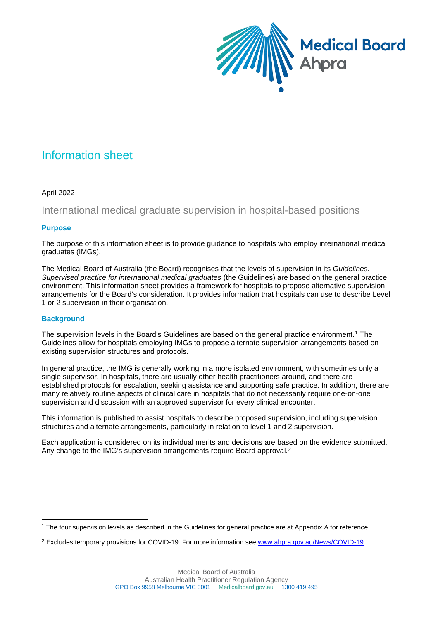

# Information sheet

# April 2022

# International medical graduate supervision in hospital-based positions

# **Purpose**

The purpose of this information sheet is to provide guidance to hospitals who employ international medical graduates (IMGs).

The Medical Board of Australia (the Board) recognises that the levels of supervision in its *Guidelines: Supervised practice for international medical graduates* (the Guidelines) are based on the general practice environment. This information sheet provides a framework for hospitals to propose alternative supervision arrangements for the Board's consideration. It provides information that hospitals can use to describe Level 1 or 2 supervision in their organisation.

# **Background**

The supervision levels in the Board's Guidelines are based on the general practice environment.<sup>[1](#page-0-0)</sup> The Guidelines allow for hospitals employing IMGs to propose alternate supervision arrangements based on existing supervision structures and protocols.

In general practice, the IMG is generally working in a more isolated environment, with sometimes only a single supervisor. In hospitals, there are usually other health practitioners around, and there are established protocols for escalation, seeking assistance and supporting safe practice. In addition, there are many relatively routine aspects of clinical care in hospitals that do not necessarily require one-on-one supervision and discussion with an approved supervisor for every clinical encounter.

This information is published to assist hospitals to describe proposed supervision, including supervision structures and alternate arrangements, particularly in relation to level 1 and 2 supervision.

Each application is considered on its individual merits and decisions are based on the evidence submitted. Any change to the IMG's supervision arrangements require Board approval.<sup>[2](#page-0-1)</sup>

<span id="page-0-0"></span><sup>1</sup> The four supervision levels as described in the Guidelines for general practice are at Appendix A for reference.

<span id="page-0-1"></span><sup>&</sup>lt;sup>2</sup> Excludes temporary provisions for COVID-19. For more information see [www.ahpra.gov.au/News/COVID-19](http://www.ahpra.gov.au/News/COVID-19)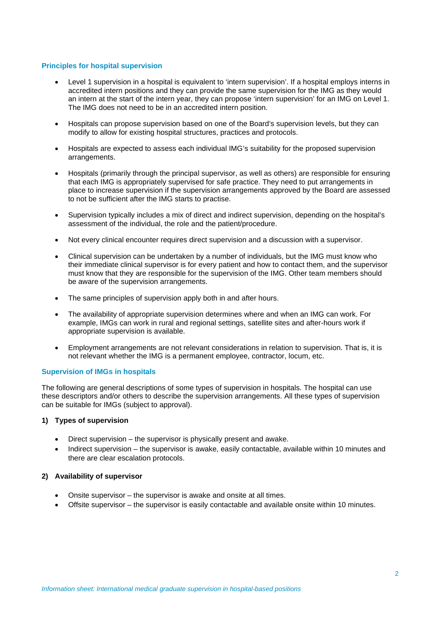#### **Principles for hospital supervision**

- Level 1 supervision in a hospital is equivalent to 'intern supervision'. If a hospital employs interns in accredited intern positions and they can provide the same supervision for the IMG as they would an intern at the start of the intern year, they can propose 'intern supervision' for an IMG on Level 1. The IMG does not need to be in an accredited intern position.
- Hospitals can propose supervision based on one of the Board's supervision levels, but they can modify to allow for existing hospital structures, practices and protocols.
- Hospitals are expected to assess each individual IMG's suitability for the proposed supervision arrangements.
- Hospitals (primarily through the principal supervisor, as well as others) are responsible for ensuring that each IMG is appropriately supervised for safe practice. They need to put arrangements in place to increase supervision if the supervision arrangements approved by the Board are assessed to not be sufficient after the IMG starts to practise.
- Supervision typically includes a mix of direct and indirect supervision, depending on the hospital's assessment of the individual, the role and the patient/procedure.
- Not every clinical encounter requires direct supervision and a discussion with a supervisor.
- Clinical supervision can be undertaken by a number of individuals, but the IMG must know who their immediate clinical supervisor is for every patient and how to contact them, and the supervisor must know that they are responsible for the supervision of the IMG. Other team members should be aware of the supervision arrangements.
- The same principles of supervision apply both in and after hours.
- The availability of appropriate supervision determines where and when an IMG can work. For example, IMGs can work in rural and regional settings, satellite sites and after-hours work if appropriate supervision is available.
- Employment arrangements are not relevant considerations in relation to supervision. That is, it is not relevant whether the IMG is a permanent employee, contractor, locum, etc.

#### **Supervision of IMGs in hospitals**

The following are general descriptions of some types of supervision in hospitals. The hospital can use these descriptors and/or others to describe the supervision arrangements. All these types of supervision can be suitable for IMGs (subject to approval).

#### **1) Types of supervision**

- Direct supervision the supervisor is physically present and awake.
- Indirect supervision the supervisor is awake, easily contactable, available within 10 minutes and there are clear escalation protocols.

#### **2) Availability of supervisor**

- Onsite supervisor the supervisor is awake and onsite at all times.
- Offsite supervisor the supervisor is easily contactable and available onsite within 10 minutes.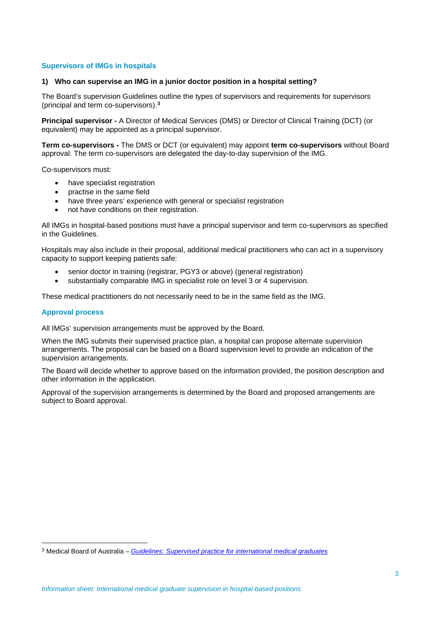## **Supervisors of IMGs in hospitals**

#### **1) Who can supervise an IMG in a junior doctor position in a hospital setting?**

The Board's supervision Guidelines outline the types of supervisors and requirements for supervisors (principal and term co-supervisors). **[3](#page-2-0)**

**Principal supervisor -** A Director of Medical Services (DMS) or Director of Clinical Training (DCT) (or equivalent) may be appointed as a principal supervisor.

**Term co-supervisors -** The DMS or DCT (or equivalent) may appoint **term co-supervisors** without Board approval. The term co-supervisors are delegated the day-to-day supervision of the IMG.

Co-supervisors must:

- have specialist registration
- practise in the same field
- have three years' experience with general or specialist registration
- not have conditions on their registration.

All IMGs in hospital-based positions must have a principal supervisor and term co-supervisors as specified in the Guidelines.

Hospitals may also include in their proposal, additional medical practitioners who can act in a supervisory capacity to support keeping patients safe:

- senior doctor in training (registrar, PGY3 or above) (general registration)
- substantially comparable IMG in specialist role on level 3 or 4 supervision.

These medical practitioners do not necessarily need to be in the same field as the IMG.

#### **Approval process**

All IMGs' supervision arrangements must be approved by the Board.

When the IMG submits their supervised practice plan, a hospital can propose alternate supervision arrangements. The proposal can be based on a Board supervision level to provide an indication of the supervision arrangements.

The Board will decide whether to approve based on the information provided, the position description and other information in the application.

Approval of the supervision arrangements is determined by the Board and proposed arrangements are subject to Board approval.

<span id="page-2-0"></span><sup>3</sup> Medical Board of Australia – *Guidelines: Supervised practice [for international medical graduates](https://www.medicalboard.gov.au/Codes-Guidelines-Policies/Supervised-practice-guidelines.aspx)*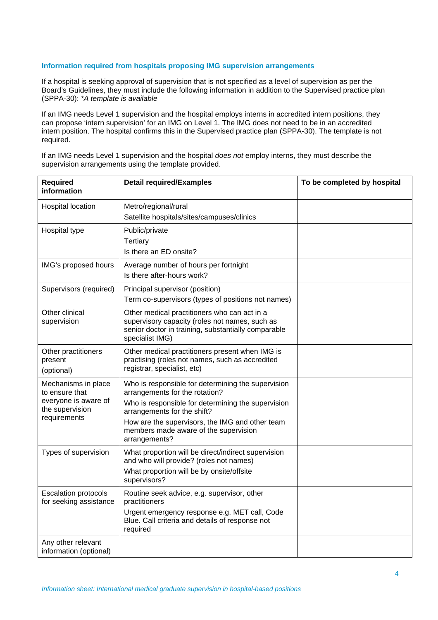#### **Information required from hospitals proposing IMG supervision arrangements**

If a hospital is seeking approval of supervision that is not specified as a level of supervision as per the Board's Guidelines, they must include the following information in addition to the Supervised practice plan (SPPA-30): *\*A template is available*

If an IMG needs Level 1 supervision and the hospital employs interns in accredited intern positions, they can propose 'intern supervision' for an IMG on Level 1. The IMG does not need to be in an accredited intern position. The hospital confirms this in the Supervised practice plan (SPPA-30). The template is not required.

If an IMG needs Level 1 supervision and the hospital *does not* employ interns, they must describe the supervision arrangements using the template provided.

| <b>Required</b><br>information                                                                   | <b>Detail required/Examples</b>                                                                                                                                                                                                                                                        | To be completed by hospital |
|--------------------------------------------------------------------------------------------------|----------------------------------------------------------------------------------------------------------------------------------------------------------------------------------------------------------------------------------------------------------------------------------------|-----------------------------|
| Hospital location                                                                                | Metro/regional/rural<br>Satellite hospitals/sites/campuses/clinics                                                                                                                                                                                                                     |                             |
| Hospital type                                                                                    | Public/private<br><b>Tertiary</b><br>Is there an ED onsite?                                                                                                                                                                                                                            |                             |
| IMG's proposed hours                                                                             | Average number of hours per fortnight<br>Is there after-hours work?                                                                                                                                                                                                                    |                             |
| Supervisors (required)                                                                           | Principal supervisor (position)<br>Term co-supervisors (types of positions not names)                                                                                                                                                                                                  |                             |
| Other clinical<br>supervision                                                                    | Other medical practitioners who can act in a<br>supervisory capacity (roles not names, such as<br>senior doctor in training, substantially comparable<br>specialist IMG)                                                                                                               |                             |
| Other practitioners<br>present<br>(optional)                                                     | Other medical practitioners present when IMG is<br>practising (roles not names, such as accredited<br>registrar, specialist, etc)                                                                                                                                                      |                             |
| Mechanisms in place<br>to ensure that<br>everyone is aware of<br>the supervision<br>requirements | Who is responsible for determining the supervision<br>arrangements for the rotation?<br>Who is responsible for determining the supervision<br>arrangements for the shift?<br>How are the supervisors, the IMG and other team<br>members made aware of the supervision<br>arrangements? |                             |
| Types of supervision                                                                             | What proportion will be direct/indirect supervision<br>and who will provide? (roles not names)<br>What proportion will be by onsite/offsite<br>supervisors?                                                                                                                            |                             |
| <b>Escalation protocols</b><br>for seeking assistance                                            | Routine seek advice, e.g. supervisor, other<br>practitioners<br>Urgent emergency response e.g. MET call, Code<br>Blue. Call criteria and details of response not<br>required                                                                                                           |                             |
| Any other relevant<br>information (optional)                                                     |                                                                                                                                                                                                                                                                                        |                             |